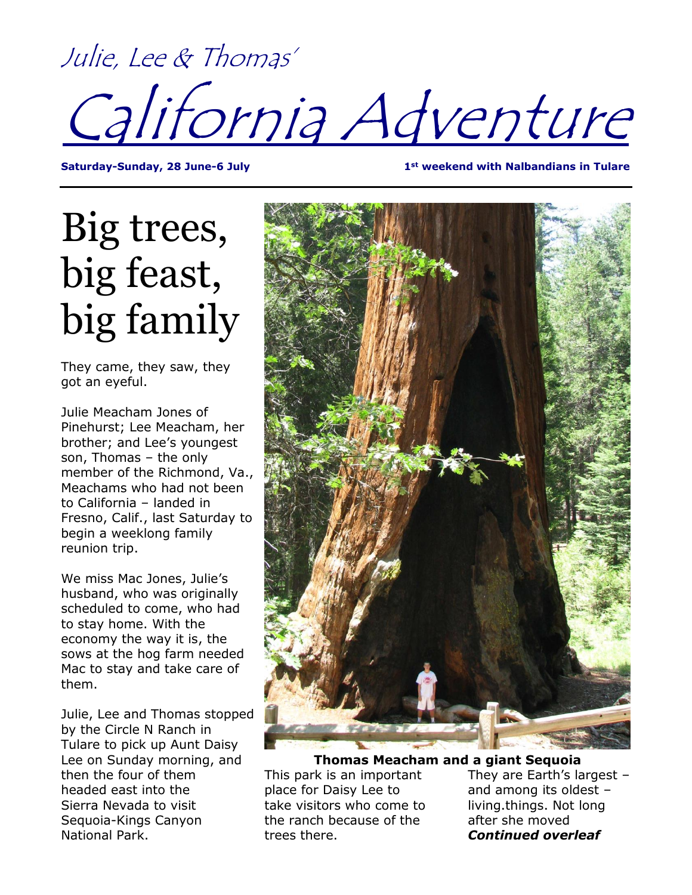# Julie, Lee & Thomas' California Adventure

**Saturday-Sunday, 28 June-6 July 1st weekend with Nalbandians in Tulare**

### Big trees, big feast, big family

They came, they saw, they got an eyeful.

Julie Meacham Jones of Pinehurst; Lee Meacham, her brother; and Lee's youngest son, Thomas – the only member of the Richmond, Va., Meachams who had not been to California – landed in Fresno, Calif., last Saturday to begin a weeklong family reunion trip.

We miss Mac Jones, Julie's husband, who was originally scheduled to come, who had to stay home. With the economy the way it is, the sows at the hog farm needed Mac to stay and take care of them.

Julie, Lee and Thomas stopped by the Circle N Ranch in Tulare to pick up Aunt Daisy then the four of them headed east into the Sierra Nevada to visit Sequoia-Kings Canyon National Park.



#### Lee on Sunday morning, and **Thomas Meacham and a giant Sequoia**

This park is an important place for Daisy Lee to take visitors who come to the ranch because of the trees there.

They are Earth's largest – and among its oldest – living.things. Not long after she moved *Continued overleaf*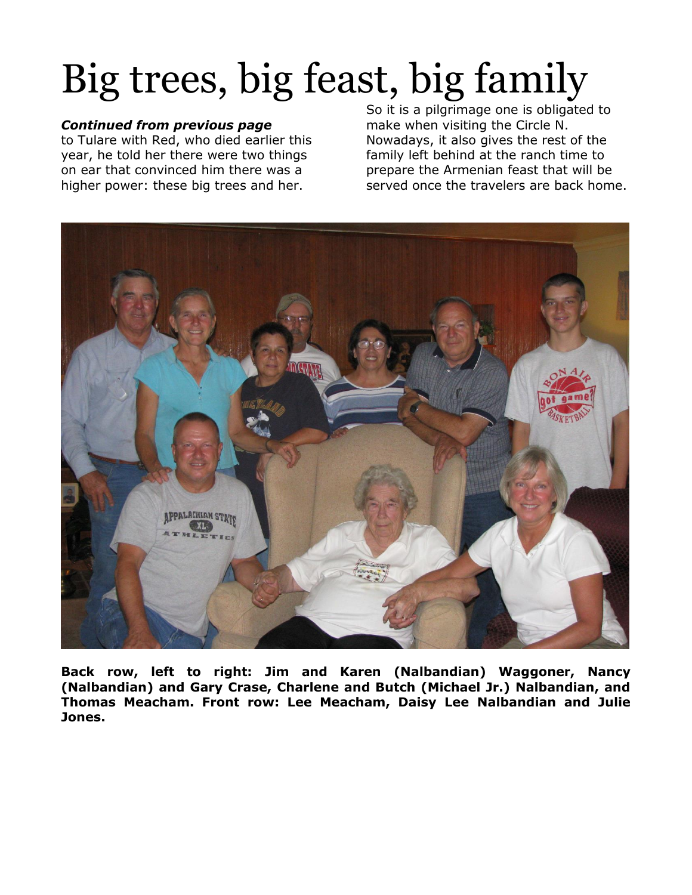## Big trees, big feast, big family

#### *Continued from previous page*

to Tulare with Red, who died earlier this year, he told her there were two things on ear that convinced him there was a higher power: these big trees and her.

So it is a pilgrimage one is obligated to make when visiting the Circle N. Nowadays, it also gives the rest of the family left behind at the ranch time to prepare the Armenian feast that will be served once the travelers are back home.



**Back row, left to right: Jim and Karen (Nalbandian) Waggoner, Nancy (Nalbandian) and Gary Crase, Charlene and Butch (Michael Jr.) Nalbandian, and Thomas Meacham. Front row: Lee Meacham, Daisy Lee Nalbandian and Julie Jones.**